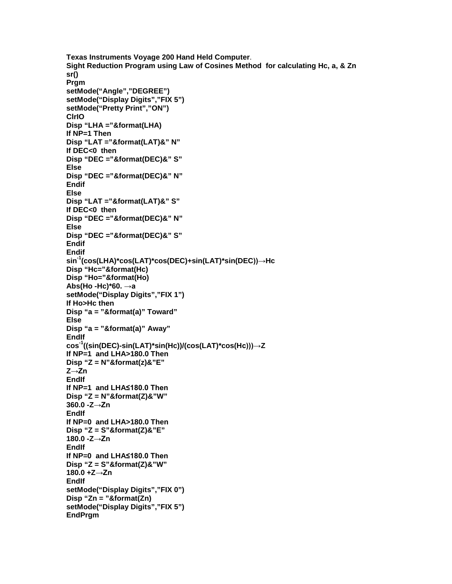**Texas Instruments Voyage 200 Hand Held Computer**. **Sight Reduction Program using Law of Cosines Method for calculating Hc, a, & Zn sr() Prgm setMode("Angle","DEGREE") setMode("Display Digits","FIX 5") setMode("Pretty Print","ON") ClrIO Disp "LHA ="&format(LHA) If NP=1 Then Disp "LAT ="&format(LAT)&" N" If DEC<0 then Disp "DEC ="&format(DEC)&" S" Else Disp "DEC ="&format(DEC)&" N" Endif Else Disp "LAT ="&format(LAT)&" S" If DEC<0 then Disp "DEC ="&format(DEC)&" N" Else Disp "DEC ="&format(DEC)&" S" Endif Endif sin-1 (cos(LHA)\*cos(LAT)\*cos(DEC)+sin(LAT)\*sin(DEC))→Hc Disp "Hc="&format(Hc) Disp "Ho="&format(Ho) Abs(Ho -Hc)\*60. →a setMode("Display Digits","FIX 1") If Ho>Hc then Disp "a = "&format(a)" Toward" Else Disp "a = "&format(a)" Away" EndIf cos-1 ((sin(DEC)-sin(LAT)\*sin(Hc))/(cos(LAT)\*cos(Hc)))→Z If NP=1 and LHA>180.0 Then Disp "Z = N"&format(z)&"E" Z→Zn EndIf If NP=1 and LHA≤180.0 Then Disp "Z = N"&format(Z)&"W" 360.0 -Z→Zn EndIf If NP=0 and LHA>180.0 Then Disp "Z = S"&format(Z)&"E" 180.0 -Z→Zn EndIf If NP=0 and LHA≤180.0 Then Disp "Z = S"&format(Z)&"W" 180.0 +Z→Zn EndIf setMode("Display Digits","FIX 0") Disp "Zn = "&format(Zn) setMode("Display Digits","FIX 5") EndPrgm**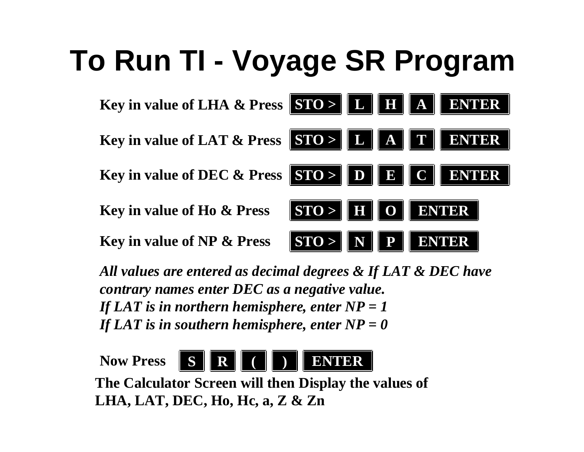## **To Run TI - Voyage SR Program**



*All values are entered as decimal degrees & If LAT & DEC have contrary names enter DEC as a negative value. If LAT is in northern hemisphere, enter NP = 1 If LAT is in southern hemisphere, enter NP = 0* 

**Now PressSR(**



**The Calculator Screen will then Display the values of LHA, LAT, DEC, Ho, Hc, a, Z & Zn**